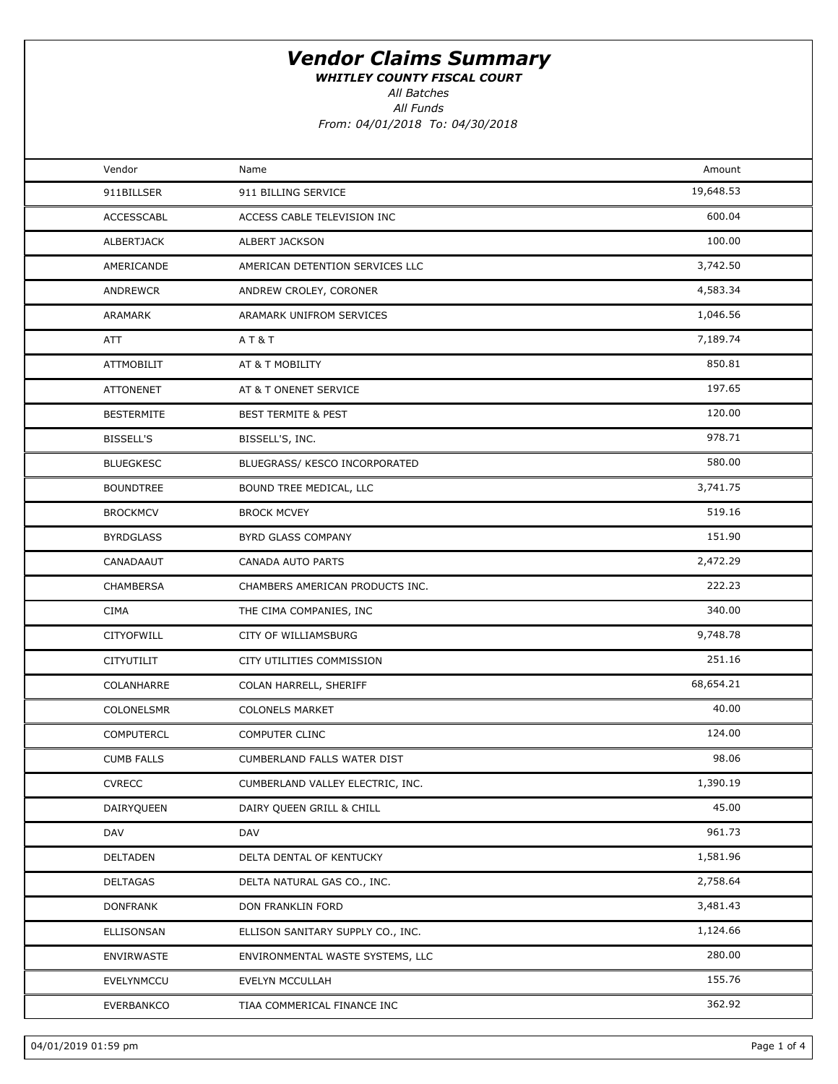WHITLEY COUNTY FISCAL COURT

All Batches

All Funds

From: 04/01/2018 To: 04/30/2018

| Vendor            | Name                               | Amount    |  |
|-------------------|------------------------------------|-----------|--|
| 911BILLSER        | 911 BILLING SERVICE                | 19,648.53 |  |
| ACCESSCABL        | ACCESS CABLE TELEVISION INC        | 600.04    |  |
| ALBERTJACK        | ALBERT JACKSON                     | 100.00    |  |
| AMERICANDE        | AMERICAN DETENTION SERVICES LLC    | 3,742.50  |  |
| ANDREWCR          | ANDREW CROLEY, CORONER             | 4,583.34  |  |
| ARAMARK           | ARAMARK UNIFROM SERVICES           | 1,046.56  |  |
| ATT               | AT&T                               | 7,189.74  |  |
| <b>ATTMOBILIT</b> | AT & T MOBILITY                    | 850.81    |  |
| <b>ATTONENET</b>  | AT & T ONENET SERVICE              | 197.65    |  |
| <b>BESTERMITE</b> | <b>BEST TERMITE &amp; PEST</b>     | 120.00    |  |
| <b>BISSELL'S</b>  | BISSELL'S, INC.                    | 978.71    |  |
| <b>BLUEGKESC</b>  | BLUEGRASS/ KESCO INCORPORATED      | 580.00    |  |
| <b>BOUNDTREE</b>  | BOUND TREE MEDICAL, LLC            | 3,741.75  |  |
| <b>BROCKMCV</b>   | <b>BROCK MCVEY</b>                 | 519.16    |  |
| <b>BYRDGLASS</b>  | BYRD GLASS COMPANY                 | 151.90    |  |
| CANADAAUT         | CANADA AUTO PARTS                  | 2,472.29  |  |
| CHAMBERSA         | CHAMBERS AMERICAN PRODUCTS INC.    | 222.23    |  |
| <b>CIMA</b>       | THE CIMA COMPANIES, INC            | 340.00    |  |
| <b>CITYOFWILL</b> | CITY OF WILLIAMSBURG               | 9,748.78  |  |
| CITYUTILIT        | CITY UTILITIES COMMISSION          | 251.16    |  |
| COLANHARRE        | COLAN HARRELL, SHERIFF             | 68,654.21 |  |
| COLONELSMR        | <b>COLONELS MARKET</b>             | 40.00     |  |
| <b>COMPUTERCL</b> | COMPUTER CLINC                     | 124.00    |  |
| <b>CUMB FALLS</b> | <b>CUMBERLAND FALLS WATER DIST</b> | 98.06     |  |
| <b>CVRECC</b>     | CUMBERLAND VALLEY ELECTRIC, INC.   | 1,390.19  |  |
| DAIRYQUEEN        | DAIRY QUEEN GRILL & CHILL          | 45.00     |  |
| DAV               | DAV                                | 961.73    |  |
| DELTADEN          | DELTA DENTAL OF KENTUCKY           | 1,581.96  |  |
| <b>DELTAGAS</b>   | DELTA NATURAL GAS CO., INC.        | 2,758.64  |  |
| <b>DONFRANK</b>   | DON FRANKLIN FORD                  | 3,481.43  |  |
| ELLISONSAN        | ELLISON SANITARY SUPPLY CO., INC.  | 1,124.66  |  |
| ENVIRWASTE        | ENVIRONMENTAL WASTE SYSTEMS, LLC   | 280.00    |  |
| EVELYNMCCU        | EVELYN MCCULLAH                    | 155.76    |  |
| EVERBANKCO        | TIAA COMMERICAL FINANCE INC        | 362.92    |  |
|                   |                                    |           |  |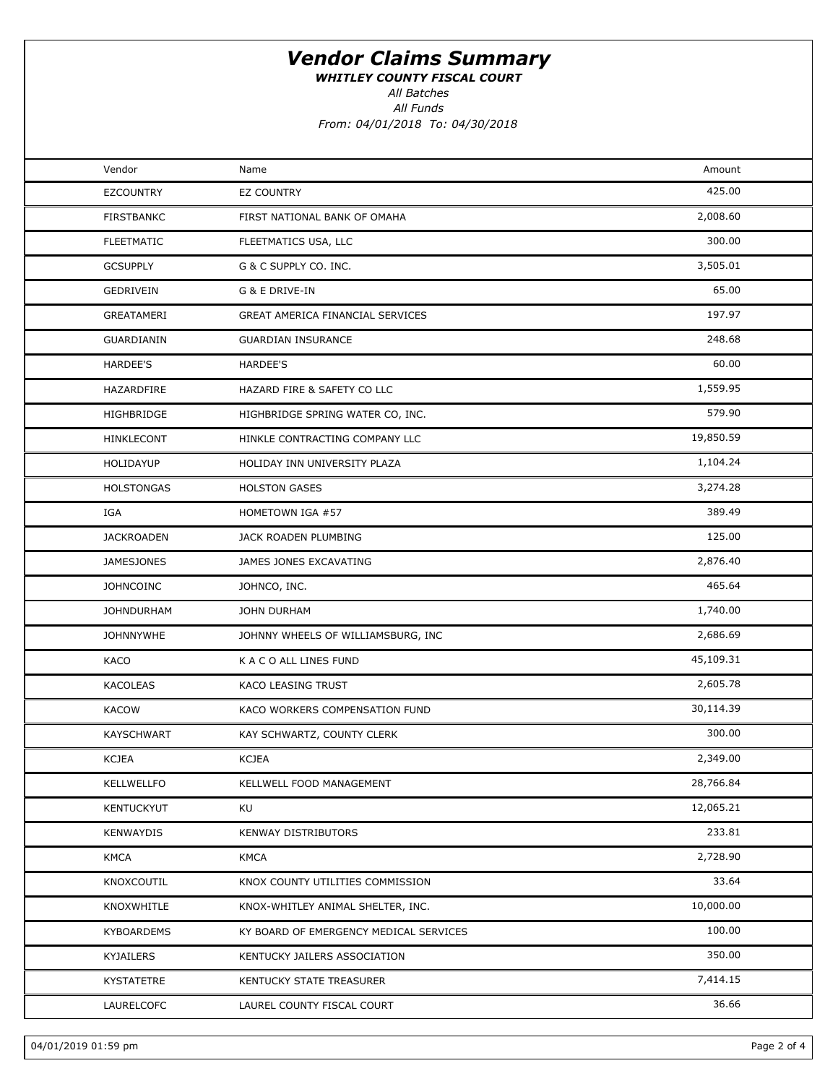WHITLEY COUNTY FISCAL COURT

All Batches

All Funds From: 04/01/2018 To: 04/30/2018

| Vendor            | Name                                   | Amount    |  |
|-------------------|----------------------------------------|-----------|--|
| <b>EZCOUNTRY</b>  | <b>EZ COUNTRY</b>                      | 425.00    |  |
| <b>FIRSTBANKC</b> | FIRST NATIONAL BANK OF OMAHA           | 2,008.60  |  |
| <b>FLEETMATIC</b> | FLEETMATICS USA, LLC                   | 300.00    |  |
| <b>GCSUPPLY</b>   | G & C SUPPLY CO. INC.                  | 3,505.01  |  |
| GEDRIVEIN         | G & E DRIVE-IN                         | 65.00     |  |
| GREATAMERI        | GREAT AMERICA FINANCIAL SERVICES       | 197.97    |  |
| GUARDIANIN        | <b>GUARDIAN INSURANCE</b>              | 248.68    |  |
| <b>HARDEE'S</b>   | HARDEE'S                               | 60.00     |  |
| HAZARDFIRE        | HAZARD FIRE & SAFETY CO LLC            | 1,559.95  |  |
| HIGHBRIDGE        | HIGHBRIDGE SPRING WATER CO, INC.       | 579.90    |  |
| HINKLECONT        | HINKLE CONTRACTING COMPANY LLC         | 19,850.59 |  |
| HOLIDAYUP         | HOLIDAY INN UNIVERSITY PLAZA           | 1,104.24  |  |
| <b>HOLSTONGAS</b> | <b>HOLSTON GASES</b>                   | 3,274.28  |  |
| IGA               | HOMETOWN IGA #57                       | 389.49    |  |
| <b>JACKROADEN</b> | JACK ROADEN PLUMBING                   | 125.00    |  |
| <b>JAMESJONES</b> | JAMES JONES EXCAVATING                 | 2,876.40  |  |
| <b>JOHNCOINC</b>  | JOHNCO, INC.                           | 465.64    |  |
| <b>JOHNDURHAM</b> | JOHN DURHAM                            | 1,740.00  |  |
| <b>JOHNNYWHE</b>  | JOHNNY WHEELS OF WILLIAMSBURG, INC     | 2,686.69  |  |
| KACO              | K A C O ALL LINES FUND                 | 45,109.31 |  |
| <b>KACOLEAS</b>   | KACO LEASING TRUST                     | 2,605.78  |  |
| <b>KACOW</b>      | KACO WORKERS COMPENSATION FUND         | 30,114.39 |  |
| <b>KAYSCHWART</b> | KAY SCHWARTZ, COUNTY CLERK             | 300.00    |  |
| <b>KCJEA</b>      | <b>KCJEA</b>                           | 2,349.00  |  |
| KELLWELLFO        | KELLWELL FOOD MANAGEMENT               | 28,766.84 |  |
| KENTUCKYUT        | KU                                     | 12,065.21 |  |
| KENWAYDIS         | <b>KENWAY DISTRIBUTORS</b>             | 233.81    |  |
| <b>KMCA</b>       | <b>KMCA</b>                            | 2,728.90  |  |
| KNOXCOUTIL        | KNOX COUNTY UTILITIES COMMISSION       | 33.64     |  |
| KNOXWHITLE        | KNOX-WHITLEY ANIMAL SHELTER, INC.      | 10,000.00 |  |
| <b>KYBOARDEMS</b> | KY BOARD OF EMERGENCY MEDICAL SERVICES | 100.00    |  |
| KYJAILERS         | KENTUCKY JAILERS ASSOCIATION           | 350.00    |  |
| <b>KYSTATETRE</b> | KENTUCKY STATE TREASURER               | 7,414.15  |  |
| LAURELCOFC        | LAUREL COUNTY FISCAL COURT             | 36.66     |  |
|                   |                                        |           |  |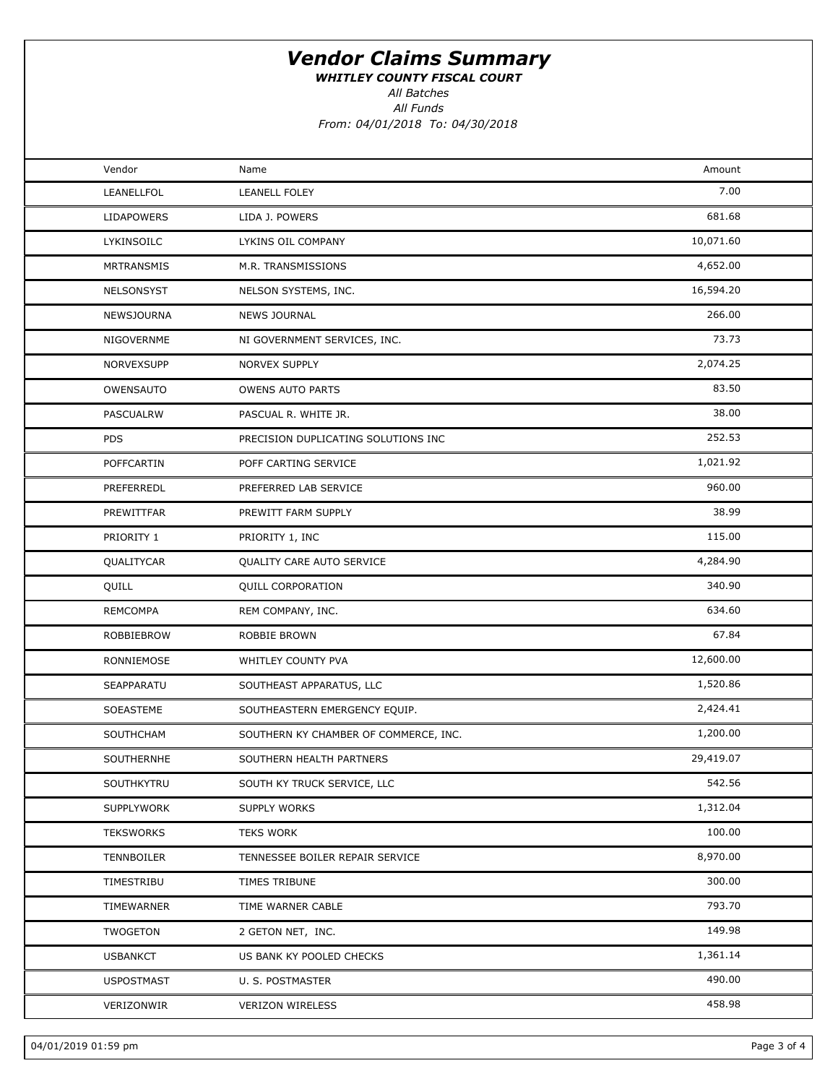WHITLEY COUNTY FISCAL COURT

All Funds All Batches

From: 04/01/2018 To: 04/30/2018

| Vendor            | Name                                  | Amount    |  |
|-------------------|---------------------------------------|-----------|--|
| LEANELLFOL        | <b>LEANELL FOLEY</b>                  | 7.00      |  |
| <b>LIDAPOWERS</b> | LIDA J. POWERS                        | 681.68    |  |
| LYKINSOILC        | LYKINS OIL COMPANY                    | 10,071.60 |  |
| <b>MRTRANSMIS</b> | M.R. TRANSMISSIONS                    | 4,652.00  |  |
| NELSONSYST        | NELSON SYSTEMS, INC.                  | 16,594.20 |  |
| NEWSJOURNA        | <b>NEWS JOURNAL</b>                   | 266.00    |  |
| NIGOVERNME        | NI GOVERNMENT SERVICES, INC.          | 73.73     |  |
| NORVEXSUPP        | NORVEX SUPPLY                         | 2,074.25  |  |
| OWENSAUTO         | <b>OWENS AUTO PARTS</b>               | 83.50     |  |
| PASCUALRW         | PASCUAL R. WHITE JR.                  | 38.00     |  |
| <b>PDS</b>        | PRECISION DUPLICATING SOLUTIONS INC   | 252.53    |  |
| POFFCARTIN        | POFF CARTING SERVICE                  | 1,021.92  |  |
| PREFERREDL        | PREFERRED LAB SERVICE                 | 960.00    |  |
| PREWITTFAR        | PREWITT FARM SUPPLY                   | 38.99     |  |
| PRIORITY 1        | PRIORITY 1, INC                       | 115.00    |  |
| QUALITYCAR        | QUALITY CARE AUTO SERVICE             | 4,284.90  |  |
| QUILL             | <b>QUILL CORPORATION</b>              | 340.90    |  |
| <b>REMCOMPA</b>   | REM COMPANY, INC.                     | 634.60    |  |
| ROBBIEBROW        | ROBBIE BROWN                          | 67.84     |  |
| RONNIEMOSE        | WHITLEY COUNTY PVA                    | 12,600.00 |  |
| SEAPPARATU        | SOUTHEAST APPARATUS, LLC              | 1,520.86  |  |
| SOEASTEME         | SOUTHEASTERN EMERGENCY EQUIP.         | 2,424.41  |  |
| SOUTHCHAM         | SOUTHERN KY CHAMBER OF COMMERCE, INC. | 1,200.00  |  |
| SOUTHERNHE        | SOUTHERN HEALTH PARTNERS              | 29,419.07 |  |
| SOUTHKYTRU        | SOUTH KY TRUCK SERVICE, LLC           | 542.56    |  |
| <b>SUPPLYWORK</b> | SUPPLY WORKS                          | 1,312.04  |  |
| <b>TEKSWORKS</b>  | <b>TEKS WORK</b>                      | 100.00    |  |
| TENNBOILER        | TENNESSEE BOILER REPAIR SERVICE       | 8,970.00  |  |
| TIMESTRIBU        | TIMES TRIBUNE                         | 300.00    |  |
| TIMEWARNER        | TIME WARNER CABLE                     | 793.70    |  |
| <b>TWOGETON</b>   | 2 GETON NET, INC.                     | 149.98    |  |
| <b>USBANKCT</b>   | US BANK KY POOLED CHECKS              | 1,361.14  |  |
| <b>USPOSTMAST</b> | U. S. POSTMASTER                      | 490.00    |  |
| VERIZONWIR        | <b>VERIZON WIRELESS</b>               | 458.98    |  |
|                   |                                       |           |  |